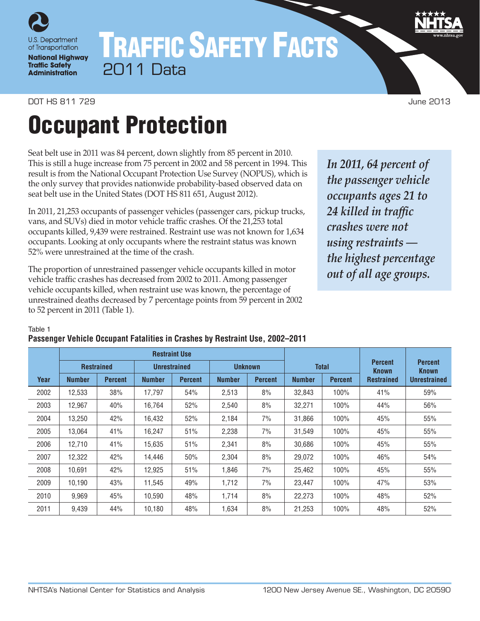

# TRAFFIC SAFETY FACTS 2011 Data

#### DOT HS 811 729 June 2013

# Occupant Protection

Seat belt use in 2011 was 84 percent, down slightly from 85 percent in 2010. This is still a huge increase from 75 percent in 2002 and 58 percent in 1994. This result is from the National Occupant Protection Use Survey (NOPUS), which is the only survey that provides nationwide probability-based observed data on seat belt use in the United States (DOT HS 811 651, August 2012).

In 2011, 21,253 occupants of passenger vehicles (passenger cars, pickup trucks, vans, and SUVs) died in motor vehicle traffic crashes. Of the 21,253 total occupants killed, 9,439 were restrained. Restraint use was not known for 1,634 occupants. Looking at only occupants where the restraint status was known 52% were unrestrained at the time of the crash.

The proportion of unrestrained passenger vehicle occupants killed in motor vehicle traffic crashes has decreased from 2002 to 2011. Among passenger vehicle occupants killed, when restraint use was known, the percentage of unrestrained deaths decreased by 7 percentage points from 59 percent in 2002 to 52 percent in 2011 (Table 1).

*In 2011, 64 percent of the passenger vehicle occupants ages 21 to 24 killed in traffic crashes were not using restraints the highest percentage out of all age groups.*

Table 1

#### **Passenger Vehicle Occupant Fatalities in Crashes by Restraint Use, 2002–2011**

|      | <b>Restraint Use</b> |                   |               |                     |               |                |               |                | <b>Percent</b>                    |                                |
|------|----------------------|-------------------|---------------|---------------------|---------------|----------------|---------------|----------------|-----------------------------------|--------------------------------|
|      |                      | <b>Restrained</b> |               | <b>Unrestrained</b> |               | <b>Unknown</b> |               | <b>Total</b>   |                                   | <b>Percent</b><br><b>Known</b> |
| Year | <b>Number</b>        | <b>Percent</b>    | <b>Number</b> | <b>Percent</b>      | <b>Number</b> | <b>Percent</b> | <b>Number</b> | <b>Percent</b> | <b>Known</b><br><b>Restrained</b> | <b>Unrestrained</b>            |
| 2002 | 12,533               | 38%               | 17.797        | 54%                 | 2,513         | 8%             | 32,843        | 100%           | 41%                               | 59%                            |
| 2003 | 12,967               | 40%               | 16.764        | 52%                 | 2,540         | 8%             | 32,271        | 100%           | 44%                               | 56%                            |
| 2004 | 13,250               | 42%               | 16,432        | 52%                 | 2,184         | 7%             | 31,866        | 100%           | 45%                               | 55%                            |
| 2005 | 13,064               | 41%               | 16,247        | 51%                 | 2,238         | 7%             | 31,549        | 100%           | 45%                               | 55%                            |
| 2006 | 12,710               | 41%               | 15,635        | 51%                 | 2,341         | 8%             | 30,686        | 100%           | 45%                               | 55%                            |
| 2007 | 12,322               | 42%               | 14,446        | 50%                 | 2,304         | 8%             | 29,072        | 100%           | 46%                               | 54%                            |
| 2008 | 10.691               | 42%               | 12,925        | 51%                 | 1.846         | 7%             | 25,462        | 100%           | 45%                               | 55%                            |
| 2009 | 10,190               | 43%               | 11,545        | 49%                 | 1,712         | 7%             | 23,447        | 100%           | 47%                               | 53%                            |
| 2010 | 9.969                | 45%               | 10.590        | 48%                 | 1.714         | 8%             | 22,273        | $100\%$        | 48%                               | 52%                            |
| 2011 | 9,439                | 44%               | 10,180        | 48%                 | 1,634         | 8%             | 21,253        | 100%           | 48%                               | 52%                            |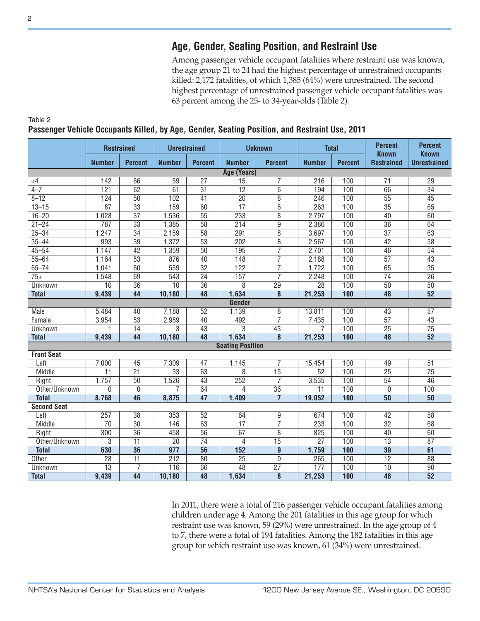## **Age, Gender, Seating Position, and Restraint Use**

Among passenger vehicle occupant fatalities where restraint use was known, the age group 21 to 24 had the highest percentage of unrestrained occupants killed: 2,172 fatalities, of which 1,385 (64%) were unrestrained. The second highest percentage of unrestrained passenger vehicle occupant fatalities was 63 percent among the 25- to 34-year-olds (Table 2).

|                    | <b>Restrained</b> |                 | <b>Unrestrained</b>             |                 |                         | <b>Unknown</b>          |                 | <b>Total</b>   | <b>Percent</b><br><b>Known</b> | <b>Percent</b><br><b>Known</b> |  |
|--------------------|-------------------|-----------------|---------------------------------|-----------------|-------------------------|-------------------------|-----------------|----------------|--------------------------------|--------------------------------|--|
|                    | <b>Number</b>     | <b>Percent</b>  | <b>Number</b><br><b>Percent</b> |                 | <b>Number</b>           | <b>Percent</b>          | <b>Number</b>   | <b>Percent</b> | <b>Restrained</b>              | <b>Unrestrained</b>            |  |
|                    |                   |                 |                                 |                 | Age (Years)             |                         |                 |                |                                |                                |  |
| $\leq$ 4           | 142               | 66              | 59                              | $\overline{27}$ | 15                      | 7                       | 216             | 100            | 71                             | 29                             |  |
| $4 - 7$            | $\overline{121}$  | 62              | $\overline{61}$                 | $\overline{31}$ | $\overline{12}$         | $\overline{6}$          | 194             | 100            | 66                             | $\overline{34}$                |  |
| $8 - 12$           | 124               | $\overline{50}$ | 102                             | $\overline{41}$ | $\overline{20}$         | $\overline{8}$          | 246             | 100            | $\overline{55}$                | $\overline{45}$                |  |
| $13 - 15$          | $\overline{87}$   | $\overline{33}$ | 159                             | 60              | $\overline{17}$         | $\overline{6}$          | 263             | 100            | $\overline{35}$                | 65                             |  |
| $16 - 20$          | 1,028             | $\overline{37}$ | 1,536                           | $\overline{55}$ | 233                     | $\overline{8}$          | 2,797           | 100            | $\overline{40}$                | 60                             |  |
| $21 - 24$          | 787               | $\overline{33}$ | 1,385                           | $\overline{58}$ | 214                     | $\overline{9}$          | 2,386           | 100            | $\overline{36}$                | 64                             |  |
| $25 - 34$          | 1,247             | $\overline{34}$ | 2,159                           | $\overline{58}$ | 291                     | $\overline{8}$          | 3,697           | 100            | $\overline{37}$                | 63                             |  |
| $35 - 44$          | 993               | $\overline{39}$ | 1,372                           | $\overline{53}$ | $\overline{202}$        | $\overline{8}$          | 2,567           | 100            | $\overline{42}$                | $\overline{58}$                |  |
| $45 - 54$          | 1,147             | $\overline{42}$ | 1,359                           | 50              | 195                     | $\overline{7}$          | 2,701           | 100            | 46                             | 54                             |  |
| $55 - 64$          | 1,164             | $\overline{53}$ | 876                             | 40              | 148                     | 7                       | 2,188           | 100            | $\overline{57}$                | $\overline{43}$                |  |
| $65 - 74$          | 1,041             | 60              | 559                             | $\overline{32}$ | 122                     | $\overline{7}$          | 1,722           | 100            | 65                             | $\overline{35}$                |  |
| $75+$              | 1,548             | 69              | 543                             | $\overline{24}$ | 157                     | $\overline{7}$          | 2,248           | 100            | $\overline{74}$                | $\overline{26}$                |  |
| Unknown            | 10                | $\overline{36}$ | $\overline{10}$                 | $\overline{36}$ | $\overline{8}$          | $\overline{29}$         | $\overline{28}$ | 100            | $\overline{50}$                | $\overline{50}$                |  |
| <b>Total</b>       | 9,439             | $\overline{44}$ | 10,180                          | $\overline{48}$ | 1,634                   | $\overline{\mathbf{8}}$ | 21,253          | 100            | 48                             | $\overline{52}$                |  |
|                    |                   |                 |                                 |                 | <b>Gender</b>           |                         |                 |                |                                |                                |  |
| <b>Male</b>        | 5,484             | 40              | 7,188                           | $\overline{52}$ | 1,139                   | $\overline{8}$          | 13,811          | 100            | $\overline{43}$                | $\overline{57}$                |  |
| Female             | 3,954             | $\overline{53}$ | 2,989                           | $\overline{40}$ | 492                     | $\overline{7}$          | 7,435           | 100            | $\overline{57}$                | $\overline{43}$                |  |
| <b>Unknown</b>     |                   | $\overline{14}$ | $\overline{3}$                  | $\overline{43}$ | $\overline{3}$          | $\overline{43}$         |                 | 100            | $\overline{25}$                | $\overline{75}$                |  |
| <b>Total</b>       | 9,439             | $\overline{44}$ | 10,180                          | 48              | 1,634                   | $\overline{\mathbf{8}}$ | 21,253          | 100            | 48                             | $\overline{52}$                |  |
|                    |                   |                 |                                 |                 | <b>Seating Position</b> |                         |                 |                |                                |                                |  |
| <b>Front Seat</b>  |                   |                 |                                 |                 |                         |                         |                 |                |                                |                                |  |
| Left               | 7,000             | 45              | 7,309                           | 47              | 1,145                   | 7                       | 15,454          | 100            | 49                             | $\overline{51}$                |  |
| Middle             | 11                | $\overline{21}$ | $\overline{33}$                 | 63              | 8                       | 15                      | $\overline{52}$ | 100            | $\overline{25}$                | $\overline{75}$                |  |
| Right              | 1,757             | $\overline{50}$ | 1,526                           | 43              | 252                     | $\overline{7}$          | 3,535           | 100            | $\overline{54}$                | $\overline{46}$                |  |
| Other/Unknown      | 0                 | $\bf{0}$        | 7                               | 64              | 4                       | $\overline{36}$         | 11              | 100            | $\overline{0}$                 | 100                            |  |
| <b>Total</b>       | 8,768             | $\overline{46}$ | 8,875                           | 47              | 1,409                   | $\overline{7}$          | 19,052          | 100            | $\overline{50}$                | 50                             |  |
| <b>Second Seat</b> |                   |                 |                                 |                 |                         |                         |                 |                |                                |                                |  |
| Left               | 257               | $\overline{38}$ | 353                             | 52              | 64                      | $\overline{9}$          | 674             | 100            | $\overline{42}$                | $\overline{58}$                |  |
| Middle             | $\overline{70}$   | $\overline{30}$ | 146                             | 63              | $\overline{17}$         | $\overline{7}$          | 233             | 100            | $\overline{32}$                | 68                             |  |
| Right              | 300               | $\overline{36}$ | 458                             | $\overline{56}$ | 67                      | 8                       | 825             | 100            | 40                             | 60                             |  |
| Other/Unknown      | 3                 | $\overline{11}$ | $\overline{20}$                 | $\overline{74}$ | 4                       | 15                      | $\overline{27}$ | 100            | $\overline{13}$                | $\overline{87}$                |  |
| <b>Total</b>       | 630               | $\overline{36}$ | 977                             | $\overline{56}$ | 152                     | $\boldsymbol{9}$        | 1,759           | 100            | 39                             | 61                             |  |
| Other              | $\overline{28}$   | $\overline{11}$ | 212                             | 80              | $\overline{25}$         | $\overline{9}$          | 265             | 100            | $\overline{12}$                | 88                             |  |
| <b>Unknown</b>     | $\overline{13}$   | 7               | $\overline{116}$                | 66              | $\overline{48}$         | $\overline{27}$         | 177             | 100            | $\overline{10}$                | $\overline{90}$                |  |
| <b>Total</b>       | 9,439             | $\overline{44}$ | 10,180                          | $\overline{48}$ | 1,634                   | $\overline{\mathbf{8}}$ | 21,253          | 100            | $\overline{48}$                | $\overline{52}$                |  |

Table 2 **Passenger Vehicle Occupants Killed, by Age, Gender, Seating Position, and Restraint Use, 2011**

In 2011, there were a total of 216 passenger vehicle occupant fatalities among children under age 4. Among the 201 fatalities in this age group for which restraint use was known, 59 (29%) were unrestrained. In the age group of 4 to 7, there were a total of 194 fatalities. Among the 182 fatalities in this age group for which restraint use was known, 61 (34%) were unrestrained.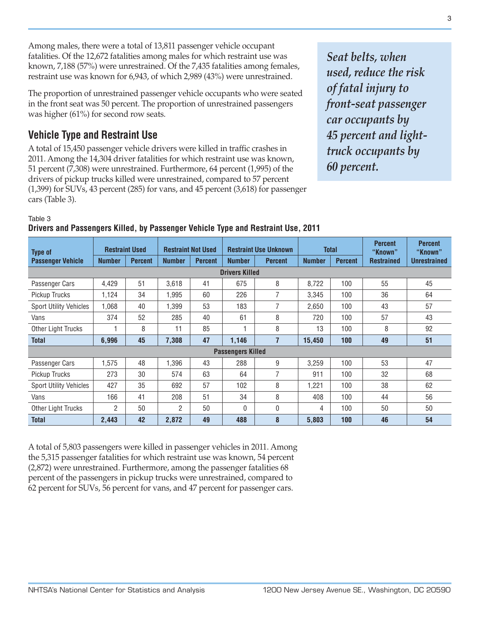Among males, there were a total of 13,811 passenger vehicle occupant fatalities. Of the 12,672 fatalities among males for which restraint use was known, 7,188 (57%) were unrestrained. Of the 7,435 fatalities among females, restraint use was known for 6,943, of which 2,989 (43%) were unrestrained.

The proportion of unrestrained passenger vehicle occupants who were seated in the front seat was 50 percent. The proportion of unrestrained passengers was higher (61%) for second row seats.

## **Vehicle Type and Restraint Use**

A total of 15,450 passenger vehicle drivers were killed in traffic crashes in 2011. Among the 14,304 driver fatalities for which restraint use was known, 51 percent (7,308) were unrestrained. Furthermore, 64 percent (1,995) of the drivers of pickup trucks killed were unrestrained, compared to 57 percent (1,399) for SUVs, 43 percent (285) for vans, and 45 percent (3,618) for passenger cars (Table 3).

*Seat belts, when used, reduce the risk of fatal injury to front-seat passenger car occupants by 45 percent and lighttruck occupants by 60 percent.*

Table 3

### **Drivers and Passengers Killed, by Passenger Vehicle Type and Restraint Use, 2011**

| <b>Type of</b>                | <b>Restraint Used</b> |                | <b>Restraint Not Used</b> |                |                          | <b>Restraint Use Unknown</b> | <b>Total</b>  |                | <b>Percent</b><br>"Known" | <b>Percent</b><br>"Known" |
|-------------------------------|-----------------------|----------------|---------------------------|----------------|--------------------------|------------------------------|---------------|----------------|---------------------------|---------------------------|
| <b>Passenger Vehicle</b>      | <b>Number</b>         | <b>Percent</b> | <b>Number</b>             | <b>Percent</b> | <b>Number</b>            | <b>Percent</b>               | <b>Number</b> | <b>Percent</b> | <b>Restrained</b>         | <b>Unrestrained</b>       |
|                               |                       |                |                           |                |                          |                              |               |                |                           |                           |
| Passenger Cars                | 4,429                 | 51             | 3,618                     | 41             | 675                      | 8                            | 8,722         | 100            | 55                        | 45                        |
| Pickup Trucks                 | 1.124                 | 34             | 1.995                     | 60             | 226                      | $\overline{7}$               | 3,345         | 100            | 36                        | 64                        |
| <b>Sport Utility Vehicles</b> | 1,068                 | 40             | 1.399                     | 53             | 183                      | 7                            | 2,650         | 100            | 43                        | 57                        |
| Vans                          | 374                   | 52             | 285                       | 40             | 61                       | 8                            | 720           | 100            | 57                        | 43                        |
| Other Light Trucks            |                       | 8              | 11                        | 85             |                          | 8                            | 13            | 100            | 8                         | 92                        |
| <b>Total</b>                  | 6,996                 | 45             | 7,308                     | 47             | 1,146                    | $\overline{7}$               | 15,450        | 100            | 49                        | 51                        |
|                               |                       |                |                           |                | <b>Passengers Killed</b> |                              |               |                |                           |                           |
| Passenger Cars                | 1,575                 | 48             | 1,396                     | 43             | 288                      | 9                            | 3,259         | 100            | 53                        | 47                        |
| Pickup Trucks                 | 273                   | 30             | 574                       | 63             | 64                       | 7                            | 911           | 100            | 32                        | 68                        |
| <b>Sport Utility Vehicles</b> | 427                   | 35             | 692                       | 57             | 102                      | 8                            | 1,221         | 100            | 38                        | 62                        |
| Vans                          | 166                   | 41             | 208                       | 51             | 34                       | 8                            | 408           | 100            | 44                        | 56                        |
| Other Light Trucks            | $\overline{2}$        | 50             | $\overline{2}$            | 50             | $\mathbf{0}$             | 0                            | 4             | 100            | 50                        | 50                        |
| <b>Total</b>                  | 2,443                 | 42             | 2,872                     | 49             | 488                      | 8                            | 5,803         | 100            | 46                        | 54                        |

A total of 5,803 passengers were killed in passenger vehicles in 2011. Among the 5,315 passenger fatalities for which restraint use was known, 54 percent (2,872) were unrestrained. Furthermore, among the passenger fatalities 68 percent of the passengers in pickup trucks were unrestrained, compared to 62 percent for SUVs, 56 percent for vans, and 47 percent for passenger cars.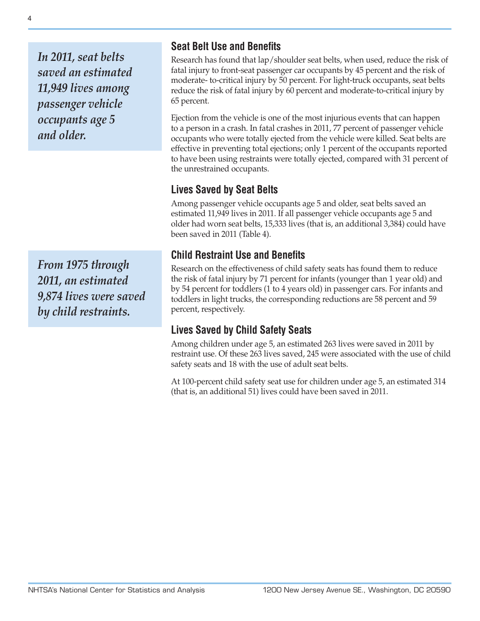*In 2011, seat belts saved an estimated 11,949 lives among passenger vehicle occupants age 5 and older.*

*From 1975 through 2011, an estimated 9,874 lives were saved by child restraints.*

## **Seat Belt Use and Benefits**

Research has found that lap/shoulder seat belts, when used, reduce the risk of fatal injury to front-seat passenger car occupants by 45 percent and the risk of moderate- to-critical injury by 50 percent. For light-truck occupants, seat belts reduce the risk of fatal injury by 60 percent and moderate-to-critical injury by 65 percent.

Ejection from the vehicle is one of the most injurious events that can happen to a person in a crash. In fatal crashes in 2011, 77 percent of passenger vehicle occupants who were totally ejected from the vehicle were killed. Seat belts are effective in preventing total ejections; only 1 percent of the occupants reported to have been using restraints were totally ejected, compared with 31 percent of the unrestrained occupants.

## **Lives Saved by Seat Belts**

Among passenger vehicle occupants age 5 and older, seat belts saved an estimated 11,949 lives in 2011. If all passenger vehicle occupants age 5 and older had worn seat belts, 15,333 lives (that is, an additional 3,384) could have been saved in 2011 (Table 4).

## **Child Restraint Use and Benefits**

Research on the effectiveness of child safety seats has found them to reduce the risk of fatal injury by 71 percent for infants (younger than 1 year old) and by 54 percent for toddlers (1 to 4 years old) in passenger cars. For infants and toddlers in light trucks, the corresponding reductions are 58 percent and 59 percent, respectively.

## **Lives Saved by Child Safety Seats**

Among children under age 5, an estimated 263 lives were saved in 2011 by restraint use. Of these 263 lives saved, 245 were associated with the use of child safety seats and 18 with the use of adult seat belts.

At 100-percent child safety seat use for children under age 5, an estimated 314 (that is, an additional 51) lives could have been saved in 2011.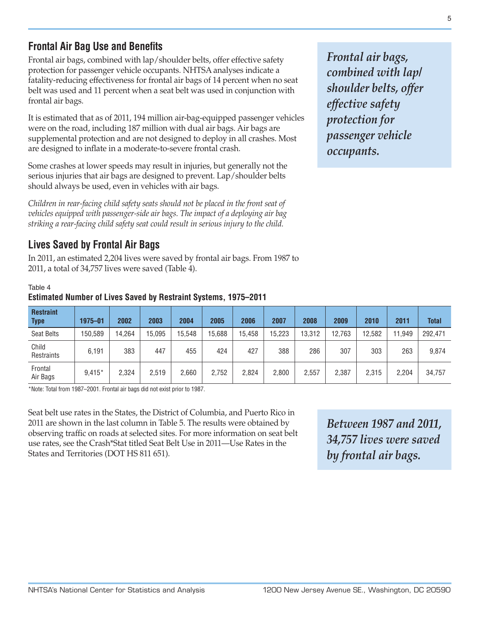5

**Frontal Air Bag Use and Benefits**

Frontal air bags, combined with lap/shoulder belts, offer effective safety protection for passenger vehicle occupants. NHTSA analyses indicate a fatality-reducing effectiveness for frontal air bags of 14 percent when no seat belt was used and 11 percent when a seat belt was used in conjunction with frontal air bags.

It is estimated that as of 2011, 194 million air-bag-equipped passenger vehicles were on the road, including 187 million with dual air bags. Air bags are supplemental protection and are not designed to deploy in all crashes. Most are designed to inflate in a moderate-to-severe frontal crash.

Some crashes at lower speeds may result in injuries, but generally not the serious injuries that air bags are designed to prevent. Lap/shoulder belts should always be used, even in vehicles with air bags.

*Children in rear-facing child safety seats should not be placed in the front seat of vehicles equipped with passenger-side air bags. The impact of a deploying air bag striking a rear-facing child safety seat could result in serious injury to the child.*

## **Lives Saved by Frontal Air Bags**

In 2011, an estimated 2,204 lives were saved by frontal air bags. From 1987 to 2011, a total of 34,757 lives were saved (Table 4).

#### Table 4

#### **Estimated Number of Lives Saved by Restraint Systems, 1975–2011**

| <b>Restraint</b><br><b>Type</b> | 1975-01  | 2002   | 2003   | 2004   | 2005   | 2006   | 2007   | 2008   | 2009   | 2010   | 2011   | <b>Total</b> |
|---------------------------------|----------|--------|--------|--------|--------|--------|--------|--------|--------|--------|--------|--------------|
| <b>Seat Belts</b>               | 150,589  | 14.264 | 15.095 | 15.548 | 15,688 | 15,458 | 15.223 | 13.312 | 12,763 | 12,582 | 11.949 | 292,471      |
| Child<br>Restraints             | 6.191    | 383    | 447    | 455    | 424    | 427    | 388    | 286    | 307    | 303    | 263    | 9,874        |
| Frontal<br>Air Bags             | $9,415*$ | 2,324  | 2,519  | 2.660  | 2,752  | 2,824  | 2,800  | 2,557  | 2,387  | 2,315  | 2,204  | 34,757       |

\*Note: Total from 1987–2001. Frontal air bags did not exist prior to 1987.

Seat belt use rates in the States, the District of Columbia, and Puerto Rico in 2011 are shown in the last column in Table 5. The results were obtained by observing traffic on roads at selected sites. For more information on seat belt use rates, see the Crash\*Stat titled Seat Belt Use in 2011—Use Rates in the States and Territories (DOT HS 811 651).

*Between 1987 and 2011, 34,757 lives were saved by frontal air bags.*

*Frontal air bags, combined with lap/ shoulder belts, offer effective safety protection for passenger vehicle occupants.*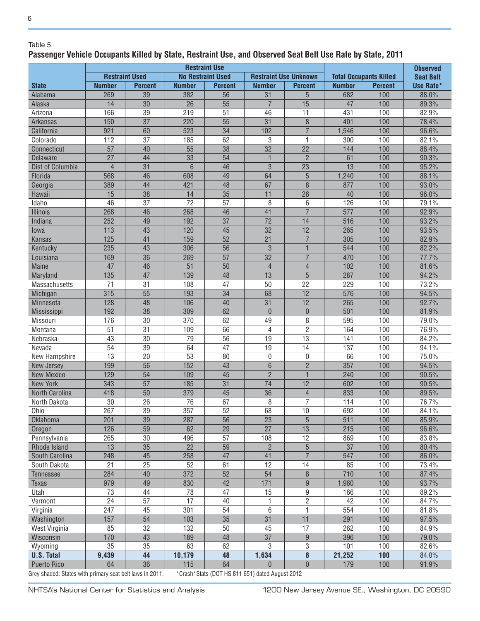#### Table 5

6

#### **Passenger Vehicle Occupants Killed by State, Restraint Use, and Observed Seat Belt Use Rate by State, 2011**

|                                                          | <b>Restraint Use</b>  |                 |                          |                 |                                                 |                              |                               |                |                                     |
|----------------------------------------------------------|-----------------------|-----------------|--------------------------|-----------------|-------------------------------------------------|------------------------------|-------------------------------|----------------|-------------------------------------|
|                                                          | <b>Restraint Used</b> |                 | <b>No Restraint Used</b> |                 |                                                 | <b>Restraint Use Unknown</b> | <b>Total Occupants Killed</b> |                | <b>Observed</b><br><b>Seat Belt</b> |
| <b>State</b>                                             | <b>Number</b>         | <b>Percent</b>  | <b>Number</b>            | <b>Percent</b>  | <b>Number</b>                                   | <b>Percent</b>               | <b>Number</b>                 | <b>Percent</b> | Use Rate*                           |
| Alabama                                                  | 269                   | $\overline{39}$ | 382                      | 56              | $\overline{31}$                                 | 5                            | 682                           | 100            | 88.0%                               |
| Alaska                                                   | 14                    | 30              | 26                       | 55              | $\overline{7}$                                  | 15                           | 47                            | 100            | 89.3%                               |
| Arizona                                                  | 166                   | 39              | 219                      | 51              | 46                                              | 11                           | 431                           | 100            | 82.9%                               |
| <b>Arkansas</b>                                          | 150                   | $\overline{37}$ | 220                      | $\overline{55}$ | $\overline{31}$                                 | $\delta$                     | 401                           | 100            | 78.4%                               |
| California                                               | 921                   | 60              | 523                      | $\overline{34}$ | 102                                             | $\overline{7}$               | 1,546                         | 100            | 96.6%                               |
| Colorado                                                 | 112                   | 37              | 185                      | 62              | 3                                               | $\mathbf{1}$                 | 300                           | 100            | 82.1%                               |
| Connecticut                                              | 57                    | 40              | 55                       | 38              | $\overline{32}$                                 | 22                           | 144                           | 100            | 88.4%                               |
| Delaware                                                 | $\overline{27}$       | 44              | $\overline{33}$          | $\overline{54}$ | $\mathbf{1}$                                    | $\overline{2}$               | 61                            | 100            | 90.3%                               |
| Dist of Columbia                                         | $\overline{4}$        | $\overline{31}$ | 6                        | 46              | 3                                               | $\overline{23}$              | 13                            | 100            | 95.2%                               |
| Florida                                                  | 568                   | 46              | 608                      | 49              | 64                                              | 5                            | 1,240                         | 100            | 88.1%                               |
| Georgia                                                  | 389                   | 44              | 421                      | 48              | 67                                              | 8                            | 877                           | 100            | 93.0%                               |
| <b>Hawaii</b>                                            | 15                    | 38              | 14                       | $\overline{35}$ | 11                                              | 28                           | 40                            | 100            | 96.0%                               |
| Idaho                                                    | 46                    | 37              | $\overline{72}$          | 57              | 8                                               | 6                            | 126                           | 100            | 79.1%                               |
| Illinois                                                 | 268                   | 46              | 268                      | 46              | 41                                              | $\overline{7}$               | 577                           | 100            | 92.9%                               |
| Indiana                                                  | 252                   | 49              | 192                      | $\overline{37}$ | $\overline{72}$                                 | 14                           | 516                           | 100            | 93.2%                               |
| lowa                                                     | 113                   | 43              | 120                      | 45              | $\overline{32}$                                 | 12                           | 265                           | 100            | 93.5%                               |
| <b>Kansas</b>                                            | 125                   | 41              | 159                      | 52              | 21                                              | $\overline{7}$               | 305                           | 100            | 82.9%                               |
| Kentucky                                                 | 235                   | 43              | 306                      | 56              | $\mathfrak{B}$                                  | $\mathbf{1}$                 | 544                           | 100            | 82.2%                               |
| Louisiana                                                | 169                   | $\overline{36}$ | 269                      | $\overline{57}$ | $\overline{32}$                                 | $\overline{7}$               | 470                           | 100            | 77.7%                               |
| <b>Maine</b>                                             | 47                    | 46              | $\overline{51}$          | 50              | $\overline{4}$                                  | $\overline{4}$               | 102                           | 100            | 81.6%                               |
| Maryland                                                 | 135                   | 47              | 139                      | 48              | 13                                              | 5                            | 287                           | 100            | 94.2%                               |
| <b>Massachusetts</b>                                     | 71                    | 31              | 108                      | 47              | 50                                              | 22                           | 229                           | 100            | 73.2%                               |
| Michigan                                                 | 315                   | $\overline{55}$ | 193                      | $\overline{34}$ | 68                                              | 12                           | 576                           | 100            | 94.5%                               |
| Minnesota                                                | 128                   | 48              | 106                      | 40              | 31                                              | 12                           | 265                           | 100            | 92.7%                               |
| Mississippi                                              | 192                   | 38              | 309                      | 62              | $\boldsymbol{0}$                                | $\theta$                     | 501                           | 100            | 81.9%                               |
| Missouri                                                 | 176                   | 30              | 370                      | 62              | 49                                              | 8                            | 595                           | 100            | 79.0%                               |
| Montana                                                  | 51                    | 31              | 109                      | 66              | 4                                               | $\overline{2}$               | 164                           | 100            | 76.9%                               |
| Nebraska                                                 | 43                    | 30              | 79                       | 56              | 19                                              | 13                           | 141                           | 100            | 84.2%                               |
| Nevada                                                   | $\overline{54}$       | $\overline{39}$ | 64                       | $\overline{47}$ | $\overline{19}$                                 | $\overline{14}$              | 137                           | 100            | 94.1%                               |
| New Hampshire                                            | $\overline{13}$       | $\overline{20}$ | $\overline{53}$          | 80              | $\pmb{0}$                                       | $\boldsymbol{0}$             | 66                            | 100            | 75.0%                               |
| New Jersey                                               | 199                   | $\overline{56}$ | 152                      | 43              | $\overline{6}$                                  | $\overline{2}$               | 357                           | 100            | 94.5%                               |
| <b>New Mexico</b>                                        | 129                   | 54              | 109                      | 45              | $\overline{2}$                                  | 1                            | 240                           | 100            | 90.5%                               |
| <b>New York</b>                                          | 343                   | $\overline{57}$ | 185                      | $\overline{31}$ | $\overline{74}$                                 | 12                           | 602                           | 100            | 90.5%                               |
| North Carolina                                           | 418                   | 50              | 379                      | 45              | 36                                              | $\overline{4}$               | 833                           | 100            | 89.5%                               |
| North Dakota                                             | 30                    | 26              | 76                       | 67              | 8                                               | $\overline{7}$               | 114                           | 100            | 76.7%                               |
| Ohio                                                     | 267                   | $\overline{39}$ | 357                      | 52              | 68                                              | 10                           | 692                           | 100            | 84.1%                               |
| <b>Oklahoma</b>                                          | 201                   | 39              | 287                      | 56              | 23                                              | 5                            | 511                           | 100            | 85.9%                               |
| Oregon                                                   | 126                   | 59              | 62                       | 29              | 27                                              | 13                           | 215                           | 100            | 96.6%                               |
| Pennsylvania                                             | 265                   | 30              | 496                      | 57              | 108                                             | 12                           | 869                           | 100            | 83.8%                               |
| Rhode Island                                             | 13                    | $\overline{35}$ | 22                       | 59              | $\overline{2}$                                  | 5                            | 37                            | 100            | 80.4%                               |
| South Carolina                                           | 248                   | 45              | 258                      | 47              | 41                                              | $\overline{7}$               | 547                           | 100            | 86.0%                               |
| South Dakota                                             | 21                    | 25              | 52                       | 61              | 12                                              | 14                           | 85                            | 100            | 73.4%                               |
| Tennessee                                                | 284                   | 40              | 372                      | 52              | $\overline{54}$                                 | $\boldsymbol{8}$             | 710                           | 100            | 87.4%                               |
| <b>Texas</b>                                             | 979                   | 49              | 830                      | 42              | 171                                             | $9\,$                        | 1,980                         | 100            | 93.7%                               |
| Utah                                                     | 73                    | 44              | 78                       | 47              | 15                                              | $\boldsymbol{9}$             | 166                           | 100            | 89.2%                               |
| Vermont                                                  | 24                    | $\overline{57}$ | $\overline{17}$          | 40              | 1                                               | $\overline{2}$               | 42                            | 100            | 84.7%                               |
| Virginia                                                 | 247                   | 45              | 301                      | 54              | 6                                               | $\mathbf{1}$                 | 554                           | 100            | 81.8%                               |
| Washington                                               | 157                   | 54              | 103                      | 35              | 31                                              | 11                           | 291                           | 100            | 97.5%                               |
| West Virginia                                            | 85                    | 32              | 132                      | 50              | 45                                              | 17                           | 262                           | 100            | 84.9%                               |
| Wisconsin                                                | 170                   | 43              | 189                      | 48              | 37                                              | $\boldsymbol{9}$             | 396                           | 100            | 79.0%                               |
| Wyoming                                                  | 35                    | 35              | 63                       | 62              | 3                                               | 3                            | 101                           | 100            | 82.6%                               |
| <b>U.S. Total</b>                                        | 9,439                 | 44              | 10,179                   | 48              | 1,634                                           | 8                            | 21,252                        | 100            | 84.0%                               |
| <b>Puerto Rico</b>                                       | 64                    | 36              | 115                      | 64              | $\theta$                                        | $\pmb{0}$                    | 179                           | 100            | 91.9%                               |
| Grey shaded: States with primary seat belt laws in 2011. |                       |                 |                          |                 | *Crash*Stats (DOT HS 811 651) dated August 2012 |                              |                               |                |                                     |